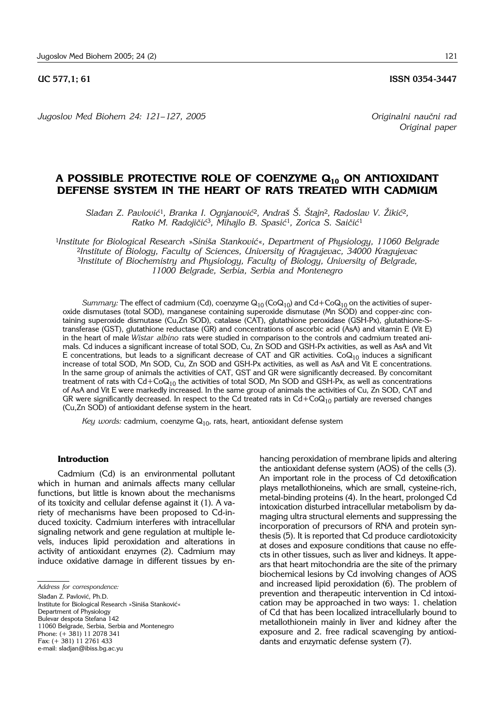*Jugoslov Med Biohem 24: 121– 127, 2005 Originalni nau~ni rad*

*Original paper*

# **A POSSIBLE PROTECTIVE ROLE OF COENZYME Q10 ON ANTIOXIDANT DEFENSE SYSTEM IN THE HEART OF RATS TREATED WITH CADMIUM**

*Slađan Z. Pavlović<sup>1</sup>, Branka I. Ognjanović<sup>2</sup>, Andraš Š. Štajn<sup>2</sup>, Radoslav V. Žikić<sup>2</sup>, Ratko M. Radojičić<sup>3</sup>, Mihajlo B. Spasić<sup>1</sup>, Zorica S. Saičić<sup>1</sup>* 

<sup>1</sup>Institute for Biological Research »Siniša Stanković«, Department of Physiology, 11060 Belgrade <sup>2</sup>*Institute of Biology, Faculty of Sciences, University of Kragujevac, 34000 Kragujevac* <sup>3</sup>*Institute of Biochemistry and Physiology, Faculty of Biology, University of Belgrade, 11000 Belgrade, Serbia, Serbia and Montenegro*

*Summary:* The effect of cadmium (Cd), coenzyme  $Q_{10}$  (Co $Q_{10}$ ) and Cd+Co $Q_{10}$  on the activities of superoxide dismutases (total SOD), manganese containing superoxide dismutase (Mn SOD) and copper-zinc containing superoxide dismutase (Cu,Zn SOD), catalase (CAT), glutathione peroxidase (GSH-Px), glutathione-Stransferase (GST), glutathione reductase (GR) and concentrations of ascorbic acid (AsA) and vitamin E (Vit E) in the heart of male *Wistar albino* rats were studied in comparison to the controls and cadmium treated animals. Cd induces a significant increase of total SOD, Cu, Zn SOD and GSH-Px activities, as well as AsA and Vit E concentrations, but leads to a significant decrease of CAT and GR activities.  $CoQ_{10}$  induces a significant increase of total SOD, Mn SOD, Cu, Zn SOD and GSH-Px activities, as well as AsA and Vit E concentrations. In the same group of animals the activities of CAT, GST and GR were significantly decreased. By concomitant treatment of rats with  $Cd + CoQ<sub>10</sub>$  the activities of total SOD, Mn SOD and GSH-Px, as well as concentrations of AsA and Vit E were markedly increased. In the same group of animals the activities of Cu, Zn SOD, CAT and GR were significantly decreased. In respect to the Cd treated rats in  $Cd + CoQ<sub>10</sub>$  partialy are reversed changes (Cu,Zn SOD) of antioxidant defense system in the heart.

Key words: cadmium, coenzyme Q<sub>10</sub>, rats, heart, antioxidant defense system

## **Introduction**

Cadmium (Cd) is an environmental pollutant which in human and animals affects many cellular functions, but little is known about the mechanisms of its toxicity and cellular defense against it (1). A variety of mechanisms have been proposed to Cd-induced toxicity. Cadmium interferes with intracellular signaling network and gene regulation at multiple levels, induces lipid peroxidation and alterations in activity of antioxidant enzymes (2). Cadmium may induce oxidative damage in different tissues by en-

Slađan Z. Pavlović, Ph.D. Institute for Biological Research »Siniša Stanković« Department of Physiology Bulevar despota Stefana 142 11060 Belgrade, Serbia, Serbia and Montenegro Phone: (+ 381) 11 2078 341 Fax: (+ 381) 11 2761 433 e-mail: sladjan@ibiss.bg.ac.yu

hancing peroxidation of membrane lipids and altering the antioxidant defense system (AOS) of the cells (3). An important role in the process of Cd detoxification plays metallothioneins, which are small, cysteine-rich, metal-binding proteins (4). In the heart, prolonged Cd intoxication disturbed intracellular metabolism by damaging ultra structural elements and suppressing the incorporation of precursors of RNA and protein synthesis (5). It is reported that Cd produce cardiotoxicity at doses and exposure conditions that cause no effects in other tissues, such as liver and kidneys. It appears that heart mitochondria are the site of the primary biochemical lesions by Cd involving changes of AOS and increased lipid peroxidation (6). The problem of prevention and therapeutic intervention in Cd intoxication may be approached in two ways: 1. chelation of Cd that has been localized intracellularly bound to metallothionein mainly in liver and kidney after the exposure and 2. free radical scavenging by antioxidants and enzymatic defense system (7).

*Address for correspondence:*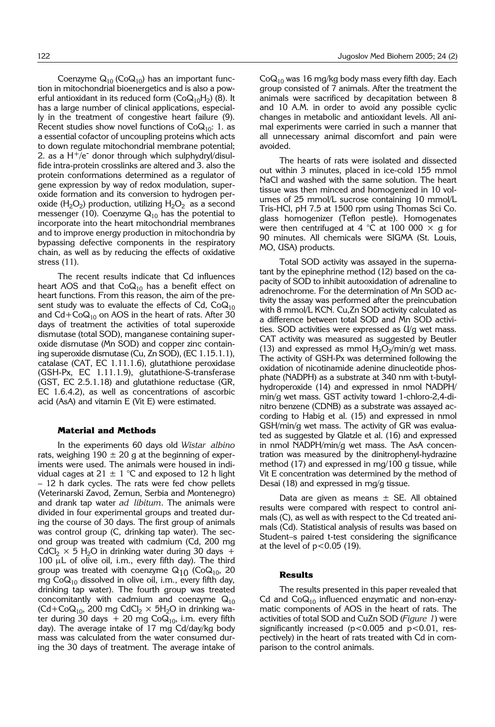Coenzyme  $Q_{10}$  (Co $Q_{10}$ ) has an important function in mitochondrial bioenergetics and is also a powerful antioxidant in its reduced form ( $CoQ_{10}H_2$ ) (8). It has a large number of clinical applications, especially in the treatment of congestive heart failure (9). Recent studies show novel functions of  $CoQ_{10}$ : 1. as a essential cofactor of uncoupling proteins which acts to down regulate mitochondrial membrane potential; 2. as a  $H^+$ /e<sup>-</sup> donor through which sulphydryl/disulfide intra-protein crosslinks are altered and 3. also the protein conformations determined as a regulator of gene expression by way of redox modulation, superoxide formation and its conversion to hydrogen peroxide (H<sub>2</sub>O<sub>2</sub>) production, utilizing H<sub>2</sub>O<sub>2</sub> as a second messenger (10). Coenzyme  $Q_{10}$  has the potential to incorporate into the heart mitochondrial membranes and to improve energy production in mitochondria by bypassing defective components in the respiratory chain, as well as by reducing the effects of oxidative stress (11).

The recent results indicate that Cd influences heart AOS and that  $CoQ_{10}$  has a benefit effect on heart functions. From this reason, the aim of the present study was to evaluate the effects of Cd,  $CoQ_{10}$ and  $Cd + CoQ<sub>10</sub>$  on AOS in the heart of rats. After 30 days of treatment the activities of total superoxide dismutase (total SOD), manganese containing superoxide dismutase (Mn SOD) and copper zinc containing superoxide dismutase (Cu, Zn SOD), (EC 1.15.1.1), catalase (CAT, EC 1.11.1.6), glutathione peroxidase (GSH-Px, EC 1.11.1.9), glutathione-S-transferase (GST, EC 2.5.1.18) and glutathione reductase (GR, EC 1.6.4.2), as well as concentrations of ascorbic acid (AsA) and vitamin E (Vit E) were estimated.

#### **Material and Methods**

In the experiments 60 days old *Wistar albino* rats, weighing  $190 \pm 20$  g at the beginning of experiments were used. The animals were housed in individual cages at  $21 \pm 1$  °C and exposed to 12 h light - 12 h dark cycles. The rats were fed chow pellets (Veterinarski Zavod, Zemun, Serbia and Montenegro) and drank tap water *ad libitum*. The animals were divided in four experimental groups and treated during the course of 30 days. The first group of animals was control group (C, drinking tap water). The second group was treated with cadmium (Cd, 200 mg CdCl<sub>2</sub>  $\times$  5 H<sub>2</sub>O in drinking water during 30 days + 100  $\mu$ L of olive oil, i.m., every fifth day). The third group was treated with coenzyme  $Q_{10}$  (Co $Q_{10}$ , 20 mg  $\text{CoQ}_{10}$  dissolved in olive oil, i.m., every fifth day, drinking tap water). The fourth group was treated concomitantly with cadmium and coenzyme  $Q_{10}$ (Cd+CoQ<sub>10</sub>, 200 mg CdCl<sub>2</sub>  $\times$  5H<sub>2</sub>O in drinking water during 30 days + 20 mg  $CoQ<sub>10</sub>$ , i.m. every fifth day). The average intake of 17 mg Cd/day/kg body mass was calculated from the water consumed during the 30 days of treatment. The average intake of  $CoQ<sub>10</sub>$  was 16 mg/kg body mass every fifth day. Each group consisted of 7 animals. After the treatment the animals were sacrificed by decapitation between 8 and 10 A.M. in order to avoid any possible cyclic changes in metabolic and antioxidant levels. All animal experiments were carried in such a manner that all unnecessary animal discomfort and pain were avoided.

The hearts of rats were isolated and dissected out within 3 minutes, placed in ice-cold 155 mmol NaCl and washed with the same solution. The heart tissue was then minced and homogenized in 10 volumes of 25 mmol/L sucrose containing 10 mmol/L Tris-HCl, pH 7.5 at 1500 rpm using Thomas Sci Co. glass homogenizer (Teflon pestle). Homogenates were then centrifuged at 4 °C at 100 000  $\times$  g for 90 minutes. All chemicals were SIGMA (St. Louis, MO, USA) products.

Total SOD activity was assayed in the supernatant by the epinephrine method (12) based on the capacity of SOD to inhibit autooxidation of adrenaline to adrenochrome. For the determination of Mn SOD activity the assay was performed after the preincubation with 8 mmol/L KCN. Cu,Zn SOD activity calculated as a difference between total SOD and Mn SOD activities. SOD activities were expressed as U/g wet mass. CAT activity was measured as suggested by Beutler (13) and expressed as mmol  $H_2O_2/m$ in/g wet mass. The activity of GSH-Px was determined following the oxidation of nicotinamide adenine dinucleotide phosphate (NADPH) as a substrate at 340 nm with t-butylhydroperoxide (14) and expressed in nmol NADPH/ min/g wet mass. GST activity toward 1-chloro-2,4-dinitro benzene (CDNB) as a substrate was assayed according to Habig et al. (15) and expressed in nmol GSH/min/g wet mass. The activity of GR was evaluated as suggested by Glatzle et al. (16) and expressed in nmol NADPH/min/g wet mass. The AsA concentration was measured by the dinitrophenyl-hydrazine method (17) and expressed in mg/100 g tissue, while Vit E concentration was determined by the method of Desai (18) and expressed in mg/g tissue.

Data are given as means  $\pm$  SE. All obtained results were compared with respect to control animals (C), as well as with respect to the Cd treated animals (Cd). Statistical analysis of results was based on Student-s paired t-test considering the significance at the level of  $p < 0.05$  (19).

### **Results**

The results presented in this paper revealed that Cd and  $CoQ_{10}$  influenced enzymatic and non-enzymatic components of AOS in the heart of rats. The activities of total SOD and CuZn SOD (*Figure 1*) were significantly increased ( $p < 0.005$  and  $p < 0.01$ , respectively) in the heart of rats treated with Cd in comparison to the control animals.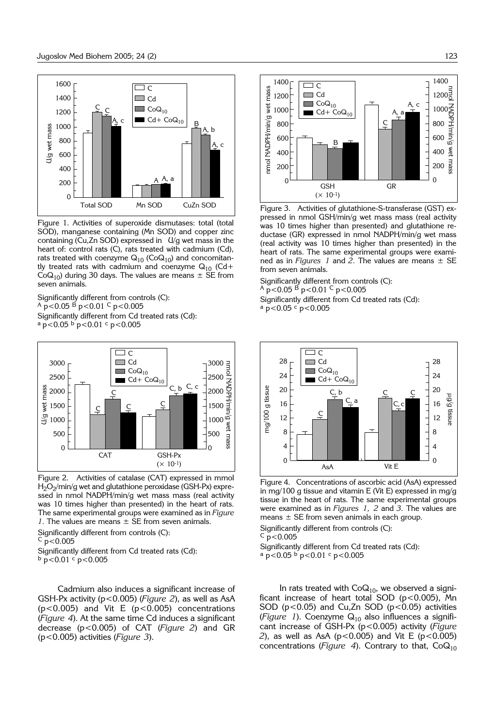

Figure 1. Activities of superoxide dismutases: total (total SOD), manganese containing (Mn SOD) and copper zinc containing ( $Cu$ ,Zn SOD) expressed in  $U/q$  wet mass in the heart of: control rats (C), rats treated with cadmium (Cd), rats treated with coenzyme  $Q_{10}$  (Co $Q_{10}$ ) and concomitantly treated rats with cadmium and coenzyme  $Q_{10}$  (Cd+  $CoQ_{10}$ ) during 30 days. The values are means  $\pm$  SE from seven animals.

Significantly different from controls (C):  $A_{\text{p}}$  < 0.05  $\overrightarrow{B}$  p < 0.01  $\overrightarrow{C}$  p < 0.005 Significantly different from Cd treated rats (Cd):  $a$  p<0.05  $b$  p<0.01  $c$  p<0.005



Figure 2. Activities of catalase (CAT) expressed in mmol  $H_2O_2/m$ in/g wet and glutathione peroxidase (GSH-Px) expressed in nmol NADPH/min/g wet mass mass (real activity was 10 times higher than presented) in the heart of rats. The same experimental groups were examined as in *Figure 1*. The values are means  $\pm$  SE from seven animals.

Significantly different from controls (C):

 $C_{p<0.005}$ 

Significantly different from Cd treated rats (Cd):  $\frac{b}{p}$  p < 0.01 c p < 0.005

Cadmium also induces a significant increase of GSH-Px activity (p<0.005) (*Figure 2*), as well as AsA (p<0.005) and Vit E (p<0.005) concentrations (*Figure 4*). At the same time Cd induces a significant decrease (p<0.005) of CAT (*Figure 2*) and GR (p<0.005) activities (*Figure 3*).



Figure 3. Activities of glutathione-S-transferase (GST) expressed in nmol GSH/min/g wet mass mass (real activity was 10 times higher than presented) and glutathione reductase (GR) expressed in nmol NADPH/min/g wet mass (real activity was 10 times higher than presented) in the heart of rats. The same experimental groups were examined as in *Figures 1* and 2. The values are means  $\pm$  SE from seven animals.

Significantly different from controls (C):  $A p < 0.05 B p < 0.01 C p < 0.005$ Significantly different from Cd treated rats (Cd):  $a$  p<0.05  $c$  p<0.005



Figure 4. Concentrations of ascorbic acid (AsA) expressed in mg/100 g tissue and vitamin E (Vit E) expressed in mg/g tissue in the heart of rats. The same experimental groups were examined as in *Figures 1, 2* and *3*. The values are means  $\pm$  SE from seven animals in each group.

Significantly different from controls (C):

 $\overline{c}$  p < 0.005

Significantly different from Cd treated rats (Cd):  $a$  p<0.05  $b$  p<0.01  $c$  p<0.005

In rats treated with  $CoQ<sub>10</sub>$ , we observed a significant increase of heart total SOD ( $p$ <0.005), Mn SOD ( $p$ <0.05) and Cu,Zn SOD ( $p$ <0.05) activities (*Figure 1*). Coenzyme  $Q_{10}$  also influences a significant increase of GSH-Px (p<0.005) activity (*Figure 2*), as well as AsA ( $p$ <0.005) and Vit E ( $p$ <0.005) concentrations (*Figure 4*). Contrary to that,  $CoQ_{10}$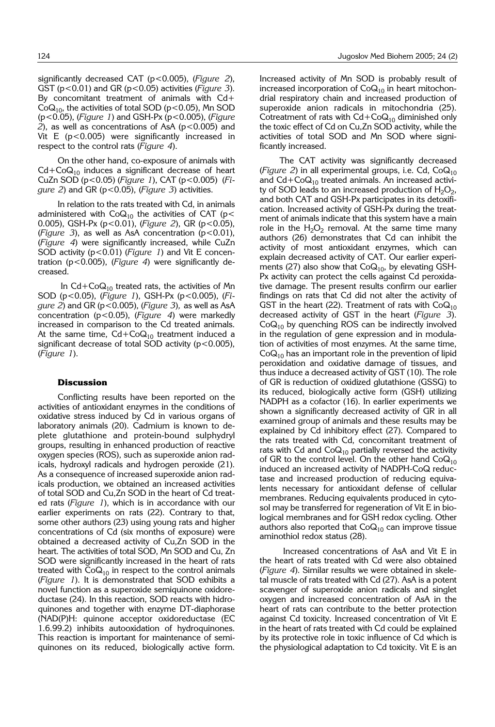significantly decreased CAT (p<0.005), (*Figure 2*), GST (p<0.01) and GR (p<0.05) activities (*Figure 3*). By concomitant treatment of animals with Cd+  $CoQ<sub>10</sub>$ , the activities of total SOD (p<0.05), Mn SOD (p<0.05), (*Figure 1*) and GSH-Px (p<0.005), (*Figure*  $2$ ), as well as concentrations of AsA ( $p$ <0.005) and Vit E (p<0.005) were significantly increased in respect to the control rats (*Figure 4*).

On the other hand, co-exposure of animals with  $Cd + CoQ<sub>10</sub>$  induces a significant decrease of heart CuZn SOD (p<0.05) (*Figure 1*), CAT (p<0.005) (*Figure 2*) and GR (p<0.05), (*Figure 3*) activities.

In relation to the rats treated with Cd, in animals administered with  $CoQ_{10}$  the activities of CAT (p< 0.005), GSH-Px (p<0.01), (*Figure 2*), GR (p<0.05), (*Figure 3*), as well as AsA concentration (p<0.01), (*Figure 4*) were significantly increased, while CuZn SOD activity (p<0.01) (*Figure 1*) and Vit E concentration (p<0.005), (*Figure 4*) were significantly decreased.

In  $Cd + CoQ<sub>10</sub>$  treated rats, the activities of Mn SOD (p<0.05), (*Figure 1*), GSH-Px (p<0.005), (*Figure 2*) and GR (p<0.005), (*Figure 3*)*,* as well as AsA concentration (p<0.05), (*Figure 4*) were markedly increased in comparison to the Cd treated animals. At the same time,  $Cd + CoQ<sub>10</sub>$  treatment induced a significant decrease of total SOD activity  $(p<0.005)$ , (*Figure 1*).

#### **Discussion**

Conflicting results have been reported on the activities of antioxidant enzymes in the conditions of oxidative stress induced by Cd in various organs of laboratory animals (20). Cadmium is known to deplete glutathione and protein-bound sulphydryl groups, resulting in enhanced production of reactive oxygen species (ROS), such as superoxide anion radicals, hydroxyl radicals and hydrogen peroxide (21). As a consequence of increased superoxide anion radicals production, we obtained an increased activities of total SOD and Cu,Zn SOD in the heart of Cd treated rats (*Figure 1*), which is in accordance with our earlier experiments on rats (22). Contrary to that, some other authors (23) using young rats and higher concentrations of Cd (six months of exposure) were obtained a decreased activity of Cu,Zn SOD in the heart. The activities of total SOD, Mn SOD and Cu, Zn SOD were significantly increased in the heart of rats treated with  $CoQ_{10}$  in respect to the control animals (*Figure 1*). It is demonstrated that SOD exhibits a novel function as a superoxide semiquinone oxidoreductase (24). In this reaction, SOD reacts with hidroquinones and together with enzyme DT-diaphorase (NAD(P)H: quinone acceptor oxidoreductase (EC 1.6.99.2) inhibits autooxidation of hydroquinones. This reaction is important for maintenance of semiquinones on its reduced, biologically active form. Increased activity of Mn SOD is probably result of increased incorporation of  $CoQ_{10}$  in heart mitochondrial respiratory chain and increased production of superoxide anion radicals in mitochondria (25). Cotreatment of rats with  $Cd + CoQ<sub>10</sub>$  diminished only the toxic effect of Cd on Cu,Zn SOD activity, while the activities of total SOD and Mn SOD where significantly increased.

The CAT activity was significantly decreased (*Figure 2*) in all experimental groups, i.e. Cd,  $CoQ_{10}$ and  $Cd + CoQ<sub>10</sub>$  treated animals. An increased activity of SOD leads to an increased production of  $H_2O_2$ , and both CAT and GSH-Px participates in its detoxification. Increased activity of GSH-Px during the treatment of animals indicate that this system have a main role in the  $H_2O_2$  removal. At the same time many authors (26) demonstrates that Cd can inhibit the activity of most antioxidant enzymes, which can explain decreased activity of CAT. Our earlier experiments (27) also show that  $CoQ_{10}$ , by elevating GSH-Px activity can protect the cells against Cd peroxidative damage. The present results confirm our earlier findings on rats that Cd did not alter the activity of GST in the heart (22). Treatment of rats with  $CoQ_{10}$ decreased activity of GST in the heart (*Figure 3*).  $CoQ<sub>10</sub>$  by quenching ROS can be indirectly involved in the regulation of gene expression and in modulation of activities of most enzymes. At the same time,  $CoQ<sub>10</sub>$  has an important role in the prevention of lipid peroxidation and oxidative damage of tissues, and thus induce a decreased activity of GST (10). The role of GR is reduction of oxidized glutathione (GSSG) to its reduced, biologically active form (GSH) utilizing NADPH as a cofactor (16). In earlier experiments we shown a significantly decreased activity of GR in all examined group of animals and these results may be explained by Cd inhibitory effect (27). Compared to the rats treated with Cd, concomitant treatment of rats with Cd and  $CoQ_{10}$  partially reversed the activity of GR to the control level. On the other hand  $CoQ_{10}$ induced an increased activity of NADPH-CoQ reductase and increased production of reducing equivalents necessary for antioxidant defense of cellular membranes. Reducing equivalents produced in cytosol may be transferred for regeneration of Vit E in biological membranes and for GSH redox cycling. Other authors also reported that  $CoQ_{10}$  can improve tissue aminothiol redox status (28).

Increased concentrations of AsA and Vit E in the heart of rats treated with Cd were also obtained (*Figure 4*). Similar results we were obtained in skeletal muscle of rats treated with Cd (27). AsA is a potent scavenger of superoxide anion radicals and singlet oxygen and increased concentration of AsA in the heart of rats can contribute to the better protection against Cd toxicity. Increased concentration of Vit E in the heart of rats treated with Cd could be explained by its protective role in toxic influence of Cd which is the physiological adaptation to Cd toxicity. Vit E is an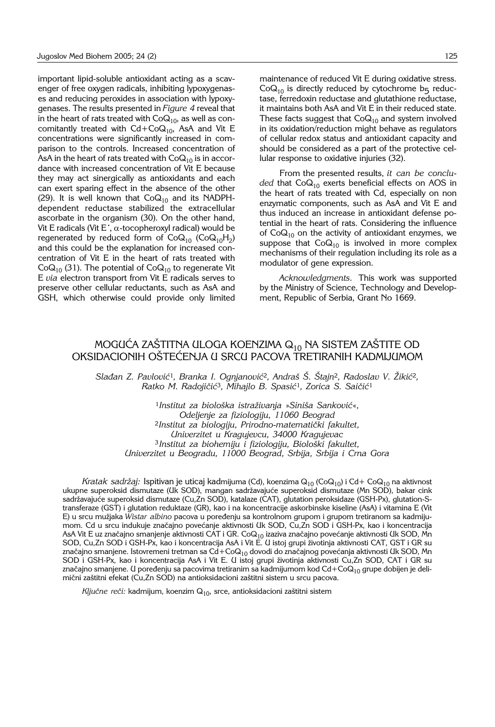important lipid-soluble antioxidant acting as a scavenger of free oxygen radicals, inhibiting lypoxygenases and reducing peroxides in association with lypoxygenases. The results presented in *Figure 4* reveal that in the heart of rats treated with  $CoQ_{10}$ , as well as concomitantly treated with  $Cd + CoQ<sub>10</sub>$ , AsA and Vit E concentrations were significantly increased in comparison to the controls. Increased concentration of AsA in the heart of rats treated with Co $\mathsf{Q}_{10}$  is in accordance with increased concentration of Vit E because they may act sinergically as antioxidants and each can exert sparing effect in the absence of the other (29). It is well known that  $CoQ_{10}$  and its NADPHdependent reductase stabilized the extracellular ascorbate in the organism (30). On the other hand, ascorbate in the organism (50). On the other nand,<br>Vit E radicals (Vit E`,  $\alpha$ -tocopheroxyl radical) would be regenerated by reduced form of  $CoQ_{10}$  (Co $Q_{10}H_2$ ) and this could be the explanation for increased concentration of Vit E in the heart of rats treated with  $CoQ<sub>10</sub>$  (31). The potential of  $CoQ<sub>10</sub>$  to regenerate Vit E *via* electron transport from Vit E radicals serves to preserve other cellular reductants, such as AsA and GSH, which otherwise could provide only limited maintenance of reduced Vit E during oxidative stress.  $CoQ<sub>10</sub>$  is directly reduced by cytochrome b<sub>5</sub> reductase, ferredoxin reductase and glutathione reductase, it maintains both AsA and Vit E in their reduced state. These facts suggest that  $CoQ_{10}$  and system involved in its oxidation/reduction might behave as regulators of cellular redox status and antioxidant capacity and should be considered as a part of the protective cellular response to oxidative injuries (32).

From the presented results, *it can be conclu*ded that CoQ<sub>10</sub> exerts beneficial effects on AOS in the heart of rats treated with Cd, especially on non enzymatic components, such as AsA and Vit E and thus induced an increase in antioxidant defense potential in the heart of rats. Considering the influence of  $CoQ_{10}$  on the activity of antioxidant enzymes, we suppose that  $CoQ_{10}$  is involved in more complex mechanisms of their regulation including its role as a modulator of gene expression.

*Acknowledgments.* This work was supported by the Ministry of Science, Technology and Development, Republic of Serbia, Grant No 1669.

# MOGUĆA ZAŠTITŅA ULOGA KOENZIMA  $\mathsf{Q}_{10}$  NA SISTEM ZAŠTITE OD OKSIDACIONIH OŠTEĆENJA U SRCU PACOVA TRETIRANIH KADMIJUMOM

*Slađan Z. Pavlović<sup>1</sup>, Branka I. Ognjanović<sup>2</sup>, Andraš Š. Štajn<sup>2</sup>, Radoslav V. Žikić<sup>2</sup>, Ratko M. Radoji~i}*<sup>3</sup>*, Mihajlo B. Spasi}*<sup>1</sup>*, Zorica S. Sai~i}*<sup>1</sup>

<sup>1</sup>*Institut za biolo{ka istra`ivanja* »*Sini{a Sankovi}*«*, Odeljenje za fiziologiju, 11060 Beograd* <sup>2</sup>*Institut za biologiju, Prirodno*-*matemati~ki fakultet, Univerzitet u Kragujevcu, 34000 Kragujevac* <sup>3</sup> Institut za biohemiju i fiziologiju, Biološki fakultet, *Univerzitet u Beogradu, 11000 Beograd, Srbija, Srbija i Crna Gora*

*Kratak sadržaj: I*spitivan je uticaj kadmijuma (Cd), koenzima Q<sub>10</sub> (CoQ<sub>10</sub>) i Cd+ CoQ<sub>10</sub> na aktivnost ukupne superoksid dismutaze (Uk SOD), mangan sadržavajuće superoksid dismutaze (Mn SOD), bakar cink sadržavajuće superoksid dismutaze (Cu,Zn SOD), katalaze (CAT), glutation peroksidaze (GSH-Px), glutation-Stransferaze (GST) i glutation reduktaze (GR), kao i na koncentracije askorbinske kiseline (AsA) i vitamina E (Vit E) u srcu mužjaka *Wistar albino* pacova u poređenju sa kontrolnom grupom i grupom tretiranom sa kadmijumom. Cd u srcu indukuje značajno povećanje aktivnosti Uk SOD, Cu,Zn SOD i GSH-Px, kao i koncentracija AsA Vit E uz značajno smanjenje aktivnosti CAT i GR. Co ${\sf Q}_{10}$  izaziva značajno povećanje aktivnosti Uk SOD, Mn SOD, Cu,Zn SOD i GSH-Px, kao i koncentracija AsA i Vit E. U istoj grupi životinja aktivnosti CAT, GST i GR su značajno smanjene. Istovremeni tretman sa Cd+Co $\mathsf{Q}_{10}$  dovodi do značajnog povećanja aktivnosti Uk SOD, Mn SOD i GSH-Px, kao i koncentracija AsA i Vit E. U istoj grupi životinja aktivnosti Cu,Zn SOD, CAT i GR su značajno smanjene. U poređenju sa pacovima tretiranim sa kadmijumom kod Cd+CoQ<sub>10</sub> grupe dobijen je delimični zaštitni efekat (Cu,Zn SOD) na antioksidacioni zaštitni sistem u srcu pacova.

Ključne reči: kadmijum, koenzim Q<sub>10</sub>, srce, antioksidacioni zaštitni sistem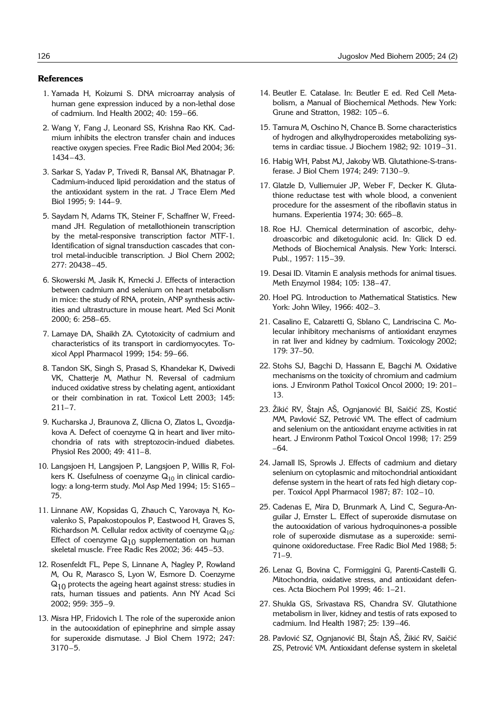### **References**

- 1. Yamada H, Koizumi S. DNA microarray analysis of human gene expression induced by a non-lethal dose of cadmium. Ind Health 2002: 40: 159-66.
- 2. Wang Y, Fang J, Leonard SS, Krishna Rao KK. Cadmium inhibits the electron transfer chain and induces reactive oxygen species. Free Radic Biol Med 2004; 36: 1434-43.
- 3. Sarkar S, Yadav P, Trivedi R, Bansal AK, Bhatnagar P. Cadmium-induced lipid peroxidation and the status of the antioxidant system in the rat. J Trace Elem Med Biol 1995: 9: 144-9.
- 5. Saydam N, Adams TK, Steiner F, Schaffner W, Freedmand JH. Regulation of metallothionein transcription by the metal-responsive transcription factor MTF-1. Identification of signal transduction cascades that control metal-inducible transcription. J Biol Chem 2002; 277: 20438-45.
- 6. Skowerski M, Jasik K, Kmecki J. Effects of interaction between cadmium and selenium on heart metabolism in mice: the study of RNA, protein, ANP synthesis activities and ultrastructure in mouse heart. Med Sci Monit 2000; 6: 258-65.
- 7. Lamaye DA, Shaikh ZA. Cytotoxicity of cadmium and characteristics of its transport in cardiomyocytes. Toxicol Appl Pharmacol 1999; 154: 59-66.
- 8. Tandon SK, Singh S, Prasad S, Khandekar K, Dwivedi VK, Chatterje M, Mathur N. Reversal of cadmium induced oxidative stress by chelating agent, antioxidant or their combination in rat. Toxicol Lett 2003; 145:  $211 - 7.$
- 9. Kucharska J, Braunova Z, Ulicna O, Zlatos L, Gvozdjakova A. Defect of coenzyme Q in heart and liver mitochondria of rats with streptozocin-indued diabetes. Physiol Res 2000; 49: 411-8.
- 10. Langsjoen H, Langsjoen P, Langsjoen P, Willis R, Folkers K. Usefulness of coenzyme  $Q_{10}$  in clinical cardiology: a long-term study. Mol Asp Med 1994; 15: S165-75.
- 11. Linnane AW, Kopsidas G, Zhauch C, Yarovaya N, Kovalenko S, Papakostopoulos P, Eastwood H, Graves S, Richardson M. Cellular redox activity of coenzyme  $Q_{10}$ : Effect of coenzyme  $Q_{10}$  supplementation on human skeletal muscle. Free Radic Res 2002; 36: 445-53.
- 12. Rosenfeldt FL, Pepe S, Linnane A, Nagley P, Rowland M, Ou R, Marasco S, Lyon W, Esmore D. Coenzyme  $Q_{10}$  protects the ageing heart against stress: studies in rats, human tissues and patients. Ann NY Acad Sci 2002; 959: 355-9.
- 13. Misra HP, Fridovich I. The role of the superoxide anion in the autooxidation of epinephrine and simple assay for superoxide dismutase. J Biol Chem 1972; 247:  $3170 - 5.$
- 14. Beutler E. Catalase. In: Beutler E ed. Red Cell Metabolism, a Manual of Biochemical Methods. New York: Grune and Stratton,  $1982: 105-6$ .
- 15. Tamura M, Oschino N, Chance B. Some characteristics of hydrogen and alkylhydroperoxides metabolizing systems in cardiac tissue. J Biochem 1982; 92: 1019-31.
- 16. Habig WH, Pabst MJ, Jakoby WB. Glutathione-S-transferase. J Biol Chem 1974; 249: 7130-9.
- 17. Glatzle D, Vulliemuier JP, Weber F, Decker K. Glutathione reductase test with whole blood, a convenient procedure for the assesment of the riboflavin status in humans. Experientia 1974; 30: 665-8.
- 18. Roe HJ. Chemical determination of ascorbic, dehydroascorbic and diketogulonic acid. In: Glick D ed. Methods of Biochemical Analysis. New York: Intersci. Publ., 1957: 115-39.
- 19. Desai ID. Vitamin E analysis methods for animal tisues. Meth Enzymol 1984; 105: 138-47.
- 20. Hoel PG. Introduction to Mathematical Statistics. New York: John Wiley, 1966: 402-3.
- 21. Casalino E, Calzaretti G, Sblano C, Landriscina C. Molecular inhibitory mechanisms of antioxidant enzymes in rat liver and kidney by cadmium. Toxicology 2002; 179: 37-50.
- 22. Stohs SJ, Bagchi D, Hassann E, Bagchi M. Oxidative mechanisms on the toxicity of chromium and cadmium ions. J Environm Pathol Toxicol Oncol 2000; 19: 201-13.
- 23. Žikić RV, Štajn AŠ, Ognjanović BI, Saičić ZS, Kostić MM, Pavlović SZ, Petrović VM. The effect of cadmium and selenium on the antioxidant enzyme activities in rat heart. J Environm Pathol Toxicol Oncol 1998; 17: 259  $-64.$
- 24. Jamall IS, Sprowls J. Effects of cadmium and dietary selenium on cytoplasmic and mitochondrial antioxidant defense system in the heart of rats fed high dietary copper. Toxicol Appl Pharmacol 1987; 87: 102-10.
- 25. Cadenas E, Mira D, Brunmark A, Lind C, Segura-Anguilar J, Ernster L. Effect of superoxide dismutase on the autooxidation of various hydroquinones-a possible role of superoxide dismutase as a superoxide: semiquinone oxidoreductase. Free Radic Biol Med 1988; 5:  $71 - 9.$
- 26. Lenaz G, Bovina C, Formiggini G, Parenti-Castelli G. Mitochondria, oxidative stress, and antioxidant defences. Acta Biochem Pol 1999; 46: 1-21.
- 27. Shukla GS, Srivastava RS, Chandra SV. Glutathione metabolism in liver, kidney and testis of rats exposed to cadmium. Ind Health 1987; 25: 139-46.
- 28. Pavlović SZ, Ognjanović BI, Štajn AŠ, Žikić RV, Saičić ZS, Petrović VM. Antioxidant defense system in skeletal